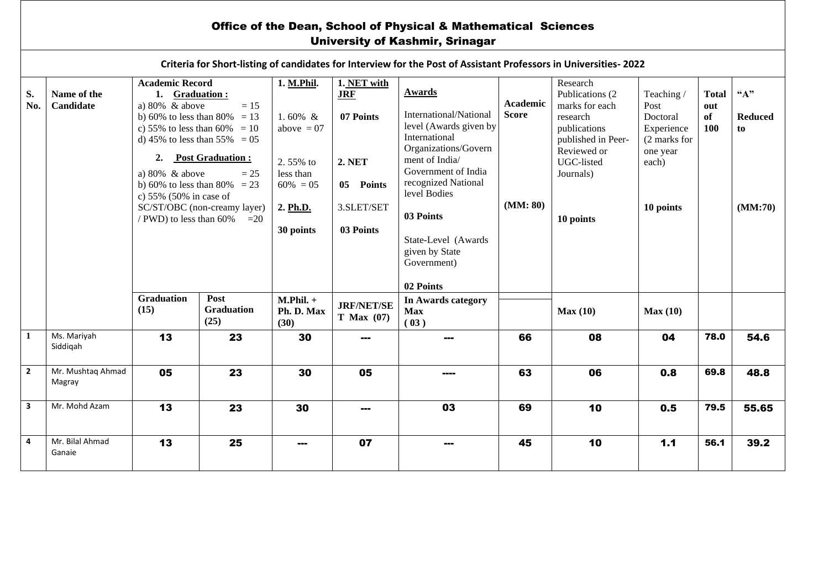## Office of the Dean, School of Physical & Mathematical Sciences University of Kashmir, Srinagar

| Criteria for Short-listing of candidates for Interview for the Post of Assistant Professors in Universities-2022 |                             |                                                                                                                                                                                                                                                                                                                                                                         |                                   |                                         |                                        |                                                                                                                                                                                                                                                                        |                                      |                                                                                                                                                         |                                                                                               |                                  |                                          |  |
|------------------------------------------------------------------------------------------------------------------|-----------------------------|-------------------------------------------------------------------------------------------------------------------------------------------------------------------------------------------------------------------------------------------------------------------------------------------------------------------------------------------------------------------------|-----------------------------------|-----------------------------------------|----------------------------------------|------------------------------------------------------------------------------------------------------------------------------------------------------------------------------------------------------------------------------------------------------------------------|--------------------------------------|---------------------------------------------------------------------------------------------------------------------------------------------------------|-----------------------------------------------------------------------------------------------|----------------------------------|------------------------------------------|--|
| S.<br>No.                                                                                                        | Name of the<br>Candidate    | <b>Academic Record</b><br>1. Graduation:<br>a) $80\%$ & above<br>$=15$<br>b) 60% to less than 80% = 13<br>c) 55% to less than 60% = 10<br>d) 45% to less than 55% = 05<br><b>Post Graduation:</b><br>2.<br>a) $80\%$ & above<br>$= 25$<br>b) 60% to less than 80% = 23<br>c) $55\%$ (50% in case of<br>SC/ST/OBC (non-creamy layer)<br>/ PWD) to less than 60%<br>$=20$ |                                   | 1. M.Phil.<br>1.60% $&$<br>above $= 07$ | 1. NET with<br><b>JRF</b><br>07 Points | Awards<br>International/National<br>level (Awards given by<br>International<br>Organizations/Govern<br>ment of India/<br>Government of India<br>recognized National<br>level Bodies<br>03 Points<br>State-Level (Awards)<br>given by State<br>Government)<br>02 Points | Academic<br><b>Score</b><br>(MM: 80) | Research<br>Publications (2)<br>marks for each<br>research<br>publications<br>published in Peer-<br>Reviewed or<br>UGC-listed<br>Journals)<br>10 points | Teaching/<br>Post<br>Doctoral<br>Experience<br>(2 marks for<br>one year<br>each)<br>10 points | <b>Total</b><br>out<br>of<br>100 | $A$ "<br><b>Reduced</b><br>to<br>(MM:70) |  |
|                                                                                                                  |                             |                                                                                                                                                                                                                                                                                                                                                                         |                                   | 2.55% to<br>less than<br>$60\% = 05$    | 2. NET<br>05 Points<br>3.SLET/SET      |                                                                                                                                                                                                                                                                        |                                      |                                                                                                                                                         |                                                                                               |                                  |                                          |  |
|                                                                                                                  |                             |                                                                                                                                                                                                                                                                                                                                                                         |                                   | 2. Ph.D.<br>30 points                   | 03 Points                              |                                                                                                                                                                                                                                                                        |                                      |                                                                                                                                                         |                                                                                               |                                  |                                          |  |
|                                                                                                                  |                             | <b>Graduation</b><br>(15)                                                                                                                                                                                                                                                                                                                                               | Post<br><b>Graduation</b><br>(25) | $M.Phil. +$<br>Ph. D. Max<br>(30)       | <b>JRF/NET/SE</b><br>$T$ Max $(07)$    | In Awards category<br><b>Max</b><br>(03)                                                                                                                                                                                                                               |                                      | Max(10)                                                                                                                                                 | Max(10)                                                                                       |                                  |                                          |  |
| $\mathbf{1}$                                                                                                     | Ms. Mariyah<br>Siddigah     | 13                                                                                                                                                                                                                                                                                                                                                                      | 23                                | 30                                      | ---                                    | $- - -$                                                                                                                                                                                                                                                                | 66                                   | 08                                                                                                                                                      | 04                                                                                            | 78.0                             | 54.6                                     |  |
| $\mathbf{2}$                                                                                                     | Mr. Mushtaq Ahmad<br>Magray | 05                                                                                                                                                                                                                                                                                                                                                                      | 23                                | 30                                      | 05                                     |                                                                                                                                                                                                                                                                        | 63                                   | 06                                                                                                                                                      | 0.8                                                                                           | 69.8                             | 48.8                                     |  |
| $\overline{\mathbf{3}}$                                                                                          | Mr. Mohd Azam               | 13                                                                                                                                                                                                                                                                                                                                                                      | 23                                | 30                                      | ---                                    | 03                                                                                                                                                                                                                                                                     | 69                                   | 10                                                                                                                                                      | 0.5                                                                                           | 79.5                             | 55.65                                    |  |
| 4                                                                                                                | Mr. Bilal Ahmad<br>Ganaie   | 13                                                                                                                                                                                                                                                                                                                                                                      | 25                                | ---                                     | 07                                     | $- - -$                                                                                                                                                                                                                                                                | 45                                   | 10                                                                                                                                                      | 1.1                                                                                           | 56.1                             | 39.2                                     |  |